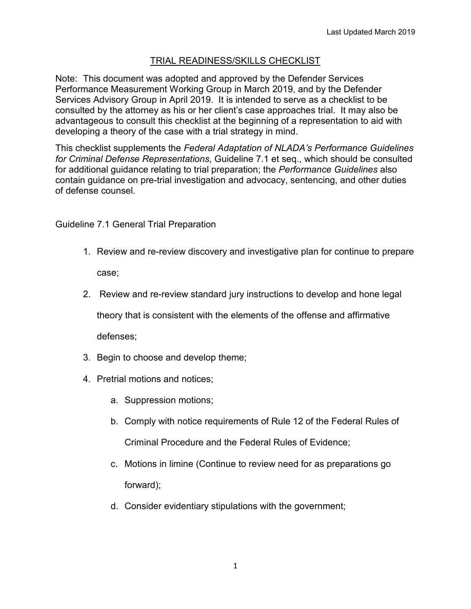## TRIAL READINESS/SKILLS CHECKLIST

Note: This document was adopted and approved by the Defender Services Performance Measurement Working Group in March 2019, and by the Defender Services Advisory Group in April 2019. It is intended to serve as a checklist to be consulted by the attorney as his or her client's case approaches trial. It may also be advantageous to consult this checklist at the beginning of a representation to aid with developing a theory of the case with a trial strategy in mind.

This checklist supplements the *Federal Adaptation of NLADA's Performance Guidelines for Criminal Defense Representations*, Guideline 7.1 et seq., which should be consulted for additional guidance relating to trial preparation; the *Performance Guidelines* also contain guidance on pre-trial investigation and advocacy, sentencing, and other duties of defense counsel.

Guideline 7.1 General Trial Preparation

- 1. Review and re-review discovery and investigative plan for continue to prepare case;
- 2. Review and re-review standard jury instructions to develop and hone legal

theory that is consistent with the elements of the offense and affirmative

defenses;

- 3. Begin to choose and develop theme;
- 4. Pretrial motions and notices;
	- a. Suppression motions;
	- b. Comply with notice requirements of Rule 12 of the Federal Rules of Criminal Procedure and the Federal Rules of Evidence;
	- c. Motions in limine (Continue to review need for as preparations go forward);
	- d. Consider evidentiary stipulations with the government;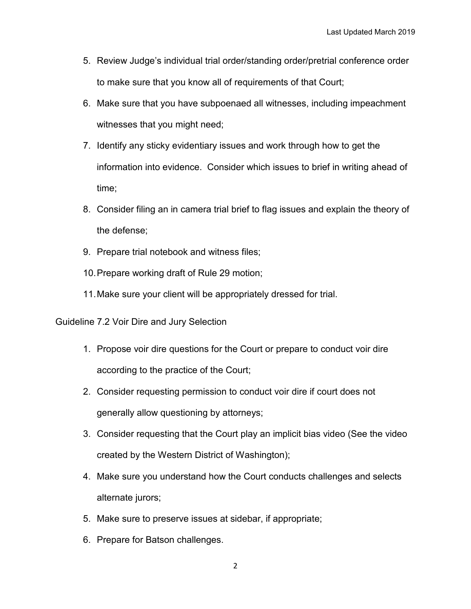- 5. Review Judge's individual trial order/standing order/pretrial conference order to make sure that you know all of requirements of that Court;
- 6. Make sure that you have subpoenaed all witnesses, including impeachment witnesses that you might need;
- 7. Identify any sticky evidentiary issues and work through how to get the information into evidence. Consider which issues to brief in writing ahead of time;
- 8. Consider filing an in camera trial brief to flag issues and explain the theory of the defense;
- 9. Prepare trial notebook and witness files;
- 10.Prepare working draft of Rule 29 motion;
- 11.Make sure your client will be appropriately dressed for trial.

Guideline 7.2 Voir Dire and Jury Selection

- 1. Propose voir dire questions for the Court or prepare to conduct voir dire according to the practice of the Court;
- 2. Consider requesting permission to conduct voir dire if court does not generally allow questioning by attorneys;
- 3. Consider requesting that the Court play an implicit bias video (See the video created by the Western District of Washington);
- 4. Make sure you understand how the Court conducts challenges and selects alternate jurors;
- 5. Make sure to preserve issues at sidebar, if appropriate;
- 6. Prepare for Batson challenges.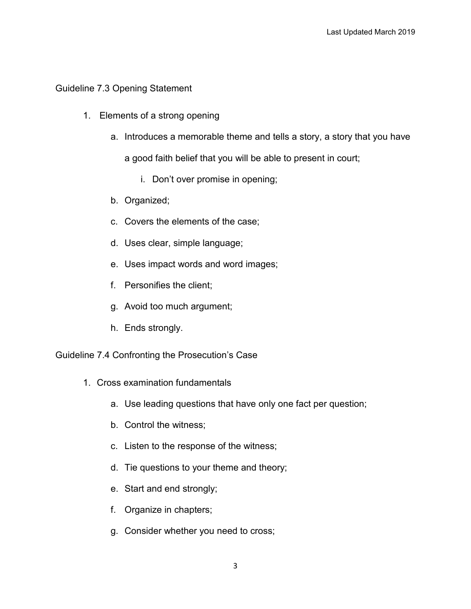## Guideline 7.3 Opening Statement

- 1. Elements of a strong opening
	- a. Introduces a memorable theme and tells a story, a story that you have

a good faith belief that you will be able to present in court;

- i. Don't over promise in opening;
- b. Organized;
- c. Covers the elements of the case;
- d. Uses clear, simple language;
- e. Uses impact words and word images;
- f. Personifies the client;
- g. Avoid too much argument;
- h. Ends strongly.

Guideline 7.4 Confronting the Prosecution's Case

- 1. Cross examination fundamentals
	- a. Use leading questions that have only one fact per question;
	- b. Control the witness;
	- c. Listen to the response of the witness;
	- d. Tie questions to your theme and theory;
	- e. Start and end strongly;
	- f. Organize in chapters;
	- g. Consider whether you need to cross;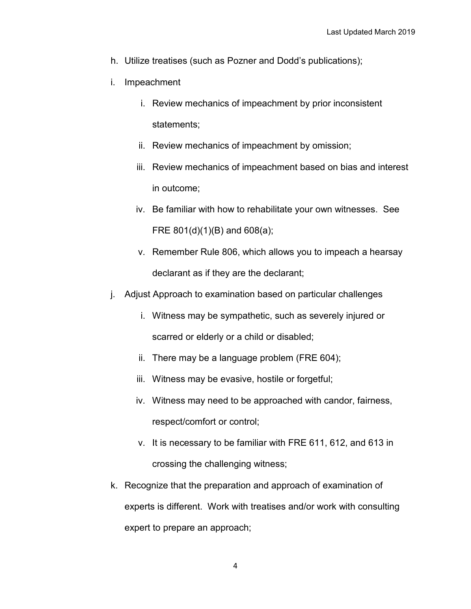- h. Utilize treatises (such as Pozner and Dodd's publications);
- i. Impeachment
	- i. Review mechanics of impeachment by prior inconsistent statements;
	- ii. Review mechanics of impeachment by omission;
	- iii. Review mechanics of impeachment based on bias and interest in outcome;
	- iv. Be familiar with how to rehabilitate your own witnesses. See FRE 801(d)(1)(B) and 608(a);
	- v. Remember Rule 806, which allows you to impeach a hearsay declarant as if they are the declarant;
- j. Adjust Approach to examination based on particular challenges
	- i. Witness may be sympathetic, such as severely injured or scarred or elderly or a child or disabled;
	- ii. There may be a language problem (FRE 604);
	- iii. Witness may be evasive, hostile or forgetful;
	- iv. Witness may need to be approached with candor, fairness, respect/comfort or control;
	- v. It is necessary to be familiar with FRE 611, 612, and 613 in crossing the challenging witness;
- k. Recognize that the preparation and approach of examination of experts is different. Work with treatises and/or work with consulting expert to prepare an approach;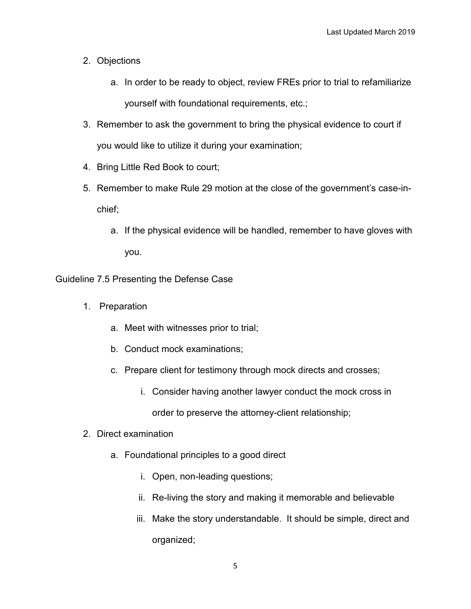- 2. Objections
	- a. In order to be ready to object, review FREs prior to trial to refamiliarize yourself with foundational requirements, etc.;
- 3. Remember to ask the government to bring the physical evidence to court if you would like to utilize it during your examination;
- 4. Bring Little Red Book to court;
- 5. Remember to make Rule 29 motion at the close of the government's case-inchief;
	- a. If the physical evidence will be handled, remember to have gloves with you.

Guideline 7.5 Presenting the Defense Case

- 1. Preparation
	- a. Meet with witnesses prior to trial;
	- b. Conduct mock examinations;
	- c. Prepare client for testimony through mock directs and crosses;
		- i. Consider having another lawyer conduct the mock cross in order to preserve the attorney-client relationship;
- 2. Direct examination
	- a. Foundational principles to a good direct
		- i. Open, non-leading questions;
		- ii. Re-living the story and making it memorable and believable
		- iii. Make the story understandable. It should be simple, direct and organized;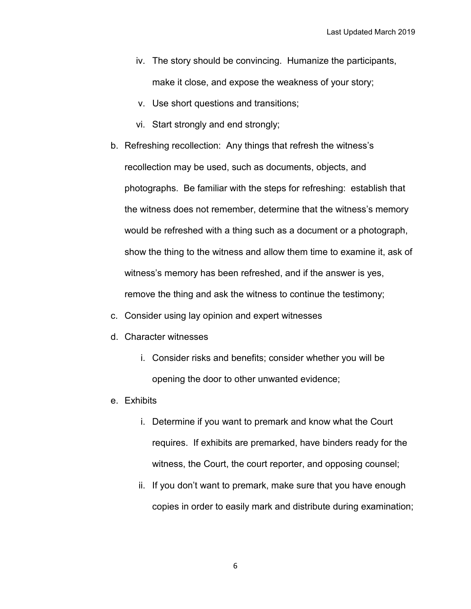- iv. The story should be convincing. Humanize the participants, make it close, and expose the weakness of your story;
- v. Use short questions and transitions;
- vi. Start strongly and end strongly;
- b. Refreshing recollection: Any things that refresh the witness's recollection may be used, such as documents, objects, and photographs. Be familiar with the steps for refreshing: establish that the witness does not remember, determine that the witness's memory would be refreshed with a thing such as a document or a photograph, show the thing to the witness and allow them time to examine it, ask of witness's memory has been refreshed, and if the answer is yes, remove the thing and ask the witness to continue the testimony;
- c. Consider using lay opinion and expert witnesses
- d. Character witnesses
	- i. Consider risks and benefits; consider whether you will be opening the door to other unwanted evidence;
- e. Exhibits
	- i. Determine if you want to premark and know what the Court requires. If exhibits are premarked, have binders ready for the witness, the Court, the court reporter, and opposing counsel;
	- ii. If you don't want to premark, make sure that you have enough copies in order to easily mark and distribute during examination;

6